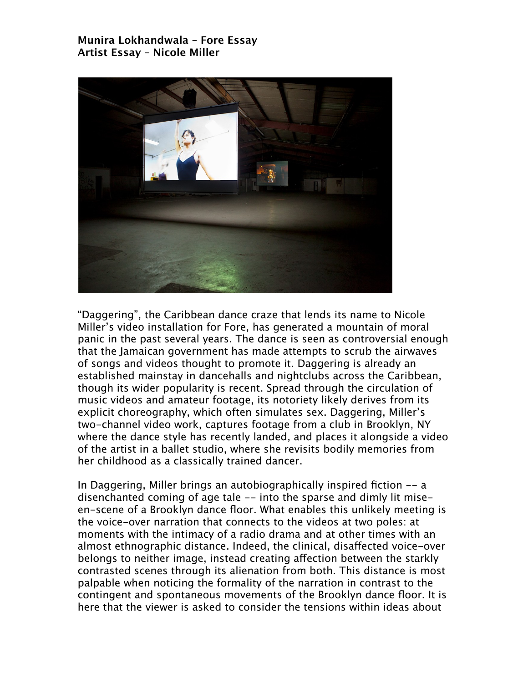## **Munira Lokhandwala – Fore Essay Artist Essay – Nicole Miller**



"Daggering", the Caribbean dance craze that lends its name to Nicole Miller's video installation for Fore, has generated a mountain of moral panic in the past several years. The dance is seen as controversial enough that the Jamaican government has made attempts to scrub the airwaves of songs and videos thought to promote it. Daggering is already an established mainstay in dancehalls and nightclubs across the Caribbean, though its wider popularity is recent. Spread through the circulation of music videos and amateur footage, its notoriety likely derives from its explicit choreography, which often simulates sex. Daggering, Miller's two-channel video work, captures footage from a club in Brooklyn, NY where the dance style has recently landed, and places it alongside a video of the artist in a ballet studio, where she revisits bodily memories from her childhood as a classically trained dancer.

In Daggering, Miller brings an autobiographically inspired fiction -- a disenchanted coming of age tale -- into the sparse and dimly lit miseen-scene of a Brooklyn dance floor. What enables this unlikely meeting is the voice-over narration that connects to the videos at two poles: at moments with the intimacy of a radio drama and at other times with an almost ethnographic distance. Indeed, the clinical, disaffected voice-over belongs to neither image, instead creating affection between the starkly contrasted scenes through its alienation from both. This distance is most palpable when noticing the formality of the narration in contrast to the contingent and spontaneous movements of the Brooklyn dance floor. It is here that the viewer is asked to consider the tensions within ideas about